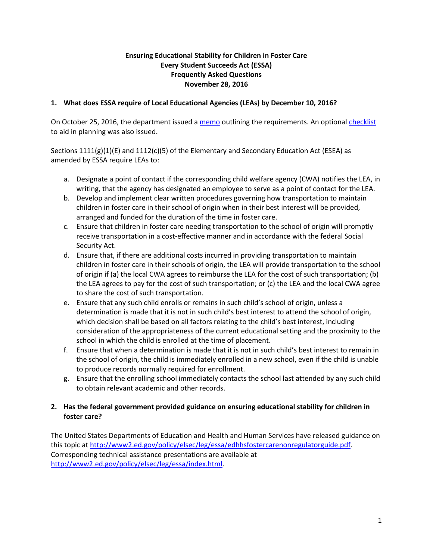# **Ensuring Educational Stability for Children in Foster Care Every Student Succeeds Act (ESSA) Frequently Asked Questions November 28, 2016**

# **1. What does ESSA require of Local Educational Agencies (LEAs) by December 10, 2016?**

On October 25, 2016, the department issued a [memo](http://info.fldoe.org/docushare/dsweb/Get/Document-7779/dps-2016-166.pdf) outlining the requirements. An optiona[l checklist](http://info.fldoe.org/docushare/dsweb/Get/Document-7780/dps-2016-166a.pdf) to aid in planning was also issued.

Sections  $1111(g)(1)(E)$  and  $1112(c)(5)$  of the Elementary and Secondary Education Act (ESEA) as amended by ESSA require LEAs to:

- a. Designate a point of contact if the corresponding child welfare agency (CWA) notifies the LEA, in writing, that the agency has designated an employee to serve as a point of contact for the LEA.
- b. Develop and implement clear written procedures governing how transportation to maintain children in foster care in their school of origin when in their best interest will be provided, arranged and funded for the duration of the time in foster care.
- c. Ensure that children in foster care needing transportation to the school of origin will promptly receive transportation in a cost-effective manner and in accordance with the federal Social Security Act.
- d. Ensure that, if there are additional costs incurred in providing transportation to maintain children in foster care in their schools of origin, the LEA will provide transportation to the school of origin if (a) the local CWA agrees to reimburse the LEA for the cost of such transportation; (b) the LEA agrees to pay for the cost of such transportation; or (c) the LEA and the local CWA agree to share the cost of such transportation.
- e. Ensure that any such child enrolls or remains in such child's school of origin, unless a determination is made that it is not in such child's best interest to attend the school of origin, which decision shall be based on all factors relating to the child's best interest, including consideration of the appropriateness of the current educational setting and the proximity to the school in which the child is enrolled at the time of placement.
- f. Ensure that when a determination is made that it is not in such child's best interest to remain in the school of origin, the child is immediately enrolled in a new school, even if the child is unable to produce records normally required for enrollment.
- g. Ensure that the enrolling school immediately contacts the school last attended by any such child to obtain relevant academic and other records.

# **2. Has the federal government provided guidance on ensuring educational stability for children in foster care?**

The United States Departments of Education and Health and Human Services have released guidance on this topic at [http://www2.ed.gov/policy/elsec/leg/essa/edhhsfostercarenonregulatorguide.pdf.](http://www2.ed.gov/policy/elsec/leg/essa/edhhsfostercarenonregulatorguide.pdf) Corresponding technical assistance presentations are available at [http://www2.ed.gov/policy/elsec/leg/essa/index.html.](http://www2.ed.gov/policy/elsec/leg/essa/index.html)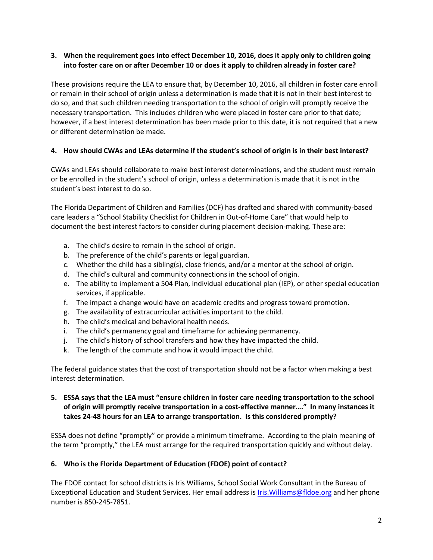# **3. When the requirement goes into effect December 10, 2016, does it apply only to children going into foster care on or after December 10 or does it apply to children already in foster care?**

These provisions require the LEA to ensure that, by December 10, 2016, all children in foster care enroll or remain in their school of origin unless a determination is made that it is not in their best interest to do so, and that such children needing transportation to the school of origin will promptly receive the necessary transportation. This includes children who were placed in foster care prior to that date; however, if a best interest determination has been made prior to this date, it is not required that a new or different determination be made.

# **4. How should CWAs and LEAs determine if the student's school of origin is in their best interest?**

CWAs and LEAs should collaborate to make best interest determinations, and the student must remain or be enrolled in the student's school of origin, unless a determination is made that it is not in the student's best interest to do so.

The Florida Department of Children and Families (DCF) has drafted and shared with community-based care leaders a "School Stability Checklist for Children in Out-of-Home Care" that would help to document the best interest factors to consider during placement decision-making. These are:

- a. The child's desire to remain in the school of origin.
- b. The preference of the child's parents or legal guardian.
- c. Whether the child has a sibling(s), close friends, and/or a mentor at the school of origin.
- d. The child's cultural and community connections in the school of origin.
- e. The ability to implement a 504 Plan, individual educational plan (IEP), or other special education services, if applicable.
- f. The impact a change would have on academic credits and progress toward promotion.
- g. The availability of extracurricular activities important to the child.
- h. The child's medical and behavioral health needs.
- i. The child's permanency goal and timeframe for achieving permanency.
- j. The child's history of school transfers and how they have impacted the child.
- k. The length of the commute and how it would impact the child.

The federal guidance states that the cost of transportation should not be a factor when making a best interest determination.

# **5. ESSA says that the LEA must "ensure children in foster care needing transportation to the school of origin will promptly receive transportation in a cost-effective manner…." In many instances it takes 24-48 hours for an LEA to arrange transportation. Is this considered promptly?**

ESSA does not define "promptly" or provide a minimum timeframe. According to the plain meaning of the term "promptly," the LEA must arrange for the required transportation quickly and without delay.

### **6. Who is the Florida Department of Education (FDOE) point of contact?**

The FDOE contact for school districts is Iris Williams, School Social Work Consultant in the Bureau of Exceptional Education and Student Services. Her email address is [Iris.Williams@fldoe.org](mailto:Iris.Williams@fldoe.org) and her phone number is 850-245-7851.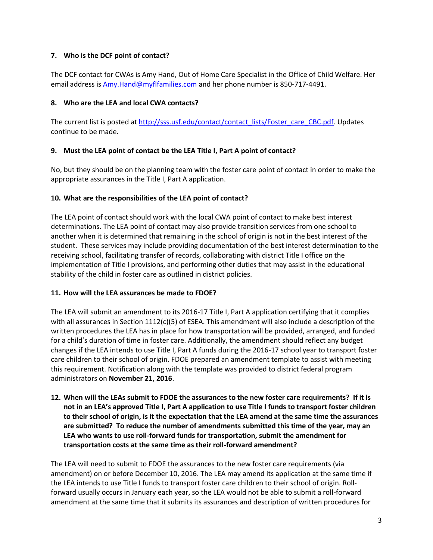## **7. Who is the DCF point of contact?**

The DCF contact for CWAs is Amy Hand, Out of Home Care Specialist in the Office of Child Welfare. Her email address i[s Amy.Hand@myflfamilies.com](mailto:Amy.Hand@myflfamilies.com) and her phone number is 850-717-4491.

### **8. Who are the LEA and local CWA contacts?**

The current list is posted at [http://sss.usf.edu/contact/contact\\_lists/Foster\\_care\\_CBC.pdf.](http://sss.usf.edu/contact/contact_lists/Foster_care_CBC.pdf) Updates continue to be made.

### **9. Must the LEA point of contact be the LEA Title I, Part A point of contact?**

No, but they should be on the planning team with the foster care point of contact in order to make the appropriate assurances in the Title I, Part A application.

### **10. What are the responsibilities of the LEA point of contact?**

The LEA point of contact should work with the local CWA point of contact to make best interest determinations. The LEA point of contact may also provide transition services from one school to another when it is determined that remaining in the school of origin is not in the best interest of the student. These services may include providing documentation of the best interest determination to the receiving school, facilitating transfer of records, collaborating with district Title I office on the implementation of Title I provisions, and performing other duties that may assist in the educational stability of the child in foster care as outlined in district policies.

### **11. How will the LEA assurances be made to FDOE?**

The LEA will submit an amendment to its 2016-17 Title I, Part A application certifying that it complies with all assurances in Section 1112(c)(5) of ESEA. This amendment will also include a description of the written procedures the LEA has in place for how transportation will be provided, arranged, and funded for a child's duration of time in foster care. Additionally, the amendment should reflect any budget changes if the LEA intends to use Title I, Part A funds during the 2016-17 school year to transport foster care children to their school of origin. FDOE prepared an amendment template to assist with meeting this requirement. Notification along with the template was provided to district federal program administrators on **November 21, 2016**.

**12. When will the LEAs submit to FDOE the assurances to the new foster care requirements? If it is not in an LEA's approved Title I, Part A application to use Title I funds to transport foster children to their school of origin, is it the expectation that the LEA amend at the same time the assurances are submitted? To reduce the number of amendments submitted this time of the year, may an LEA who wants to use roll-forward funds for transportation, submit the amendment for transportation costs at the same time as their roll-forward amendment?**

The LEA will need to submit to FDOE the assurances to the new foster care requirements (via amendment) on or before December 10, 2016. The LEA may amend its application at the same time if the LEA intends to use Title I funds to transport foster care children to their school of origin. Rollforward usually occurs in January each year, so the LEA would not be able to submit a roll-forward amendment at the same time that it submits its assurances and description of written procedures for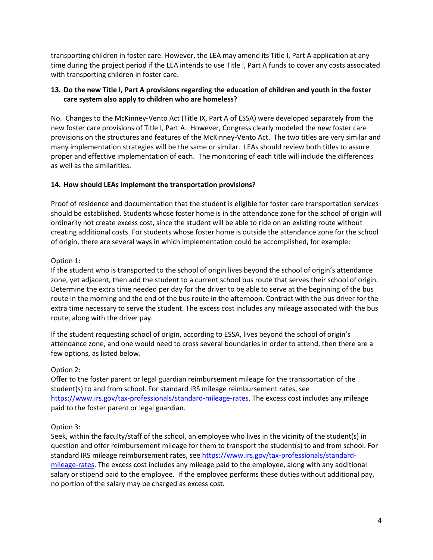transporting children in foster care. However, the LEA may amend its Title I, Part A application at any time during the project period if the LEA intends to use Title I, Part A funds to cover any costs associated with transporting children in foster care.

# **13. Do the new Title I, Part A provisions regarding the education of children and youth in the foster care system also apply to children who are homeless?**

No. Changes to the McKinney-Vento Act (Title IX, Part A of ESSA) were developed separately from the new foster care provisions of Title I, Part A. However, Congress clearly modeled the new foster care provisions on the structures and features of the McKinney-Vento Act. The two titles are very similar and many implementation strategies will be the same or similar. LEAs should review both titles to assure proper and effective implementation of each. The monitoring of each title will include the differences as well as the similarities.

# **14. How should LEAs implement the transportation provisions?**

Proof of residence and documentation that the student is eligible for foster care transportation services should be established. Students whose foster home is in the attendance zone for the school of origin will ordinarily not create excess cost, since the student will be able to ride on an existing route without creating additional costs. For students whose foster home is outside the attendance zone for the school of origin, there are several ways in which implementation could be accomplished, for example:

### Option 1:

If the student who is transported to the school of origin lives beyond the school of origin's attendance zone, yet adjacent, then add the student to a current school bus route that serves their school of origin. Determine the extra time needed per day for the driver to be able to serve at the beginning of the bus route in the morning and the end of the bus route in the afternoon. Contract with the bus driver for the extra time necessary to serve the student. The excess cost includes any mileage associated with the bus route, along with the driver pay.

If the student requesting school of origin, according to ESSA, lives beyond the school of origin's attendance zone, and one would need to cross several boundaries in order to attend, then there are a few options, as listed below.

### Option 2:

Offer to the foster parent or legal guardian reimbursement mileage for the transportation of the student(s) to and from school. For standard IRS mileage reimbursement rates, see [https://www.irs.gov/tax-professionals/standard-mileage-rates.](https://www.irs.gov/tax-professionals/standard-mileage-rates) The excess cost includes any mileage paid to the foster parent or legal guardian.

# Option 3:

Seek, within the faculty/staff of the school, an employee who lives in the vicinity of the student(s) in question and offer reimbursement mileage for them to transport the student(s) to and from school. For standard IRS mileage reimbursement rates, se[e https://www.irs.gov/tax-professionals/standard](https://www.irs.gov/tax-professionals/standard-mileage-rates)[mileage-rates.](https://www.irs.gov/tax-professionals/standard-mileage-rates) The excess cost includes any mileage paid to the employee, along with any additional salary or stipend paid to the employee. If the employee performs these duties without additional pay, no portion of the salary may be charged as excess cost.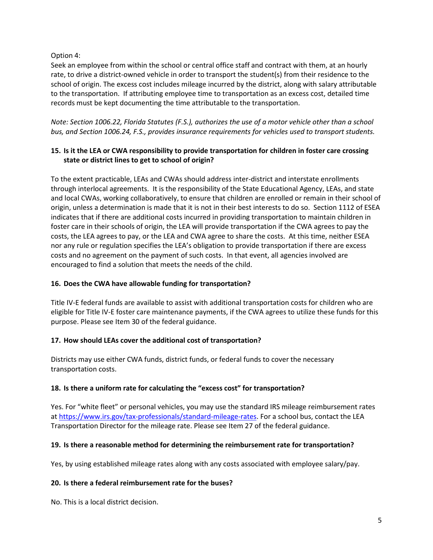### Option 4:

Seek an employee from within the school or central office staff and contract with them, at an hourly rate, to drive a district-owned vehicle in order to transport the student(s) from their residence to the school of origin. The excess cost includes mileage incurred by the district, along with salary attributable to the transportation. If attributing employee time to transportation as an excess cost, detailed time records must be kept documenting the time attributable to the transportation.

*Note: Section 1006.22, Florida Statutes (F.S.), authorizes the use of a motor vehicle other than a school bus, and Section 1006.24, F.S., provides insurance requirements for vehicles used to transport students.* 

## **15. Is it the LEA or CWA responsibility to provide transportation for children in foster care crossing state or district lines to get to school of origin?**

To the extent practicable, LEAs and CWAs should address inter-district and interstate enrollments through interlocal agreements. It is the responsibility of the State Educational Agency, LEAs, and state and local CWAs, working collaboratively, to ensure that children are enrolled or remain in their school of origin, unless a determination is made that it is not in their best interests to do so. Section 1112 of ESEA indicates that if there are additional costs incurred in providing transportation to maintain children in foster care in their schools of origin, the LEA will provide transportation if the CWA agrees to pay the costs, the LEA agrees to pay, or the LEA and CWA agree to share the costs. At this time, neither ESEA nor any rule or regulation specifies the LEA's obligation to provide transportation if there are excess costs and no agreement on the payment of such costs. In that event, all agencies involved are encouraged to find a solution that meets the needs of the child.

## **16. Does the CWA have allowable funding for transportation?**

Title IV-E federal funds are available to assist with additional transportation costs for children who are eligible for Title IV-E foster care maintenance payments, if the CWA agrees to utilize these funds for this purpose. Please see Item 30 of the federal guidance.

# **17. How should LEAs cover the additional cost of transportation?**

Districts may use either CWA funds, district funds, or federal funds to cover the necessary transportation costs.

### **18. Is there a uniform rate for calculating the "excess cost" for transportation?**

Yes. For "white fleet" or personal vehicles, you may use the standard IRS mileage reimbursement rates a[t https://www.irs.gov/tax-professionals/standard-mileage-rates.](https://www.irs.gov/tax-professionals/standard-mileage-rates) For a school bus, contact the LEA Transportation Director for the mileage rate. Please see Item 27 of the federal guidance.

### **19. Is there a reasonable method for determining the reimbursement rate for transportation?**

Yes, by using established mileage rates along with any costs associated with employee salary/pay.

### **20. Is there a federal reimbursement rate for the buses?**

No. This is a local district decision.